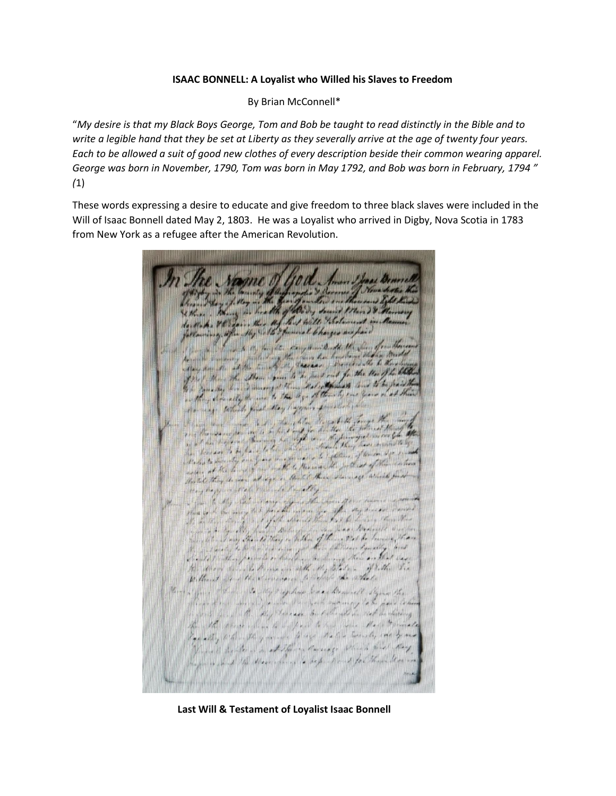## **ISAAC BONNELL: A Loyalist who Willed his Slaves to Freedom**

By Brian McConnell\*

"*My desire is that my Black Boys George, Tom and Bob be taught to read distinctly in the Bible and to write a legible hand that they be set at Liberty as they severally arrive at the age of twenty four years. Each to be allowed a suit of good new clothes of every description beside their common wearing apparel. George was born in November, 1790, Tom was born in May 1792, and Bob was born in February, 1794 " (*1)

These words expressing a desire to educate and give freedom to three black slaves were included in the Will of Isaac Bonnell dated May 2, 1803. He was a Loyalist who arrived in Digby, Nova Scotia in 1783 from New York as a refugee after the American Revolution.

her thing in health of Carry smith Mand & ( , We k , VE ) fair , the , the faith the Changes are pas )<br>with animaly after the State families to have go are pas ) have to the first the same of the first the first the first the first the first the first the first the first the first the first the first the first the first the first the first the first the first the first the first th Cary how the at the time of the first state out for the United States<br>1984 J. More Sh. Moore Spice to the performed for the United States<br>18 September 2000 Summer of the State of the state out form of the first the by the government of the dig - of the old one years acting demands to me to the agents formed to be The the same of the first the first the first the first the first the same of the first the same that the first the same of the first the same of the first the same of the same of the same of the same of the same of the sa The Roman and for the last of the state of the state of the state of the state of the state of the state of the state of the state of the state of the state of the state of the state of the state of the state of the state he hacker to be have letter while a track the form of the miles on Delis to security and four description the post not of the <u> James Same</u> some they are adopt a third this survey which find way hopping stall believed to delig when the other which was any in forme of the subscribe the book because the probleman the host beginning the state of the control of the control of the control of the<br>Second the state of the control of the state of the control of the control of the control of the control of th the dearer being to know in with My totale - if talk . You Without for the survey to religion the state Here I give I have to My Rey have been knowned I for the allever of my design of sinds, the fait common to be pass to be in with fine all, they derease by silenable in reel backing The other place where to be paid to the flow that I private Equally which they moved have stated through, we have Think applies a stilled doing which will have required with the street where to began I out for their than in

**Last Will & Testament of Loyalist Isaac Bonnell**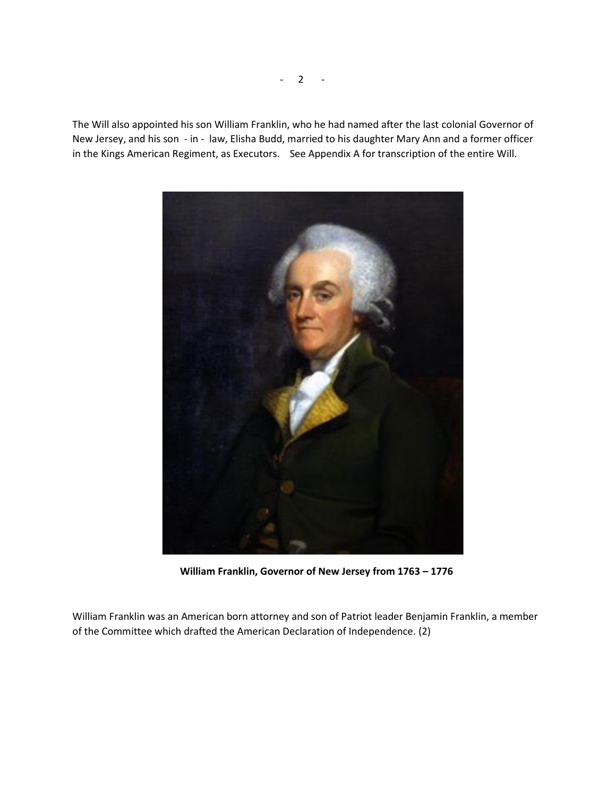The Will also appointed his son William Franklin, who he had named after the last colonial Governor of New Jersey, and his son - in - law, Elisha Budd, married to his daughter Mary Ann and a former officer in the Kings American Regiment, as Executors. See Appendix A for transcription of the entire Will.



**William Franklin, Governor of New Jersey from 1763 – 1776**

William Franklin was an American born attorney and son of Patriot leader Benjamin Franklin, a member of the Committee which drafted the American Declaration of Independence. (2)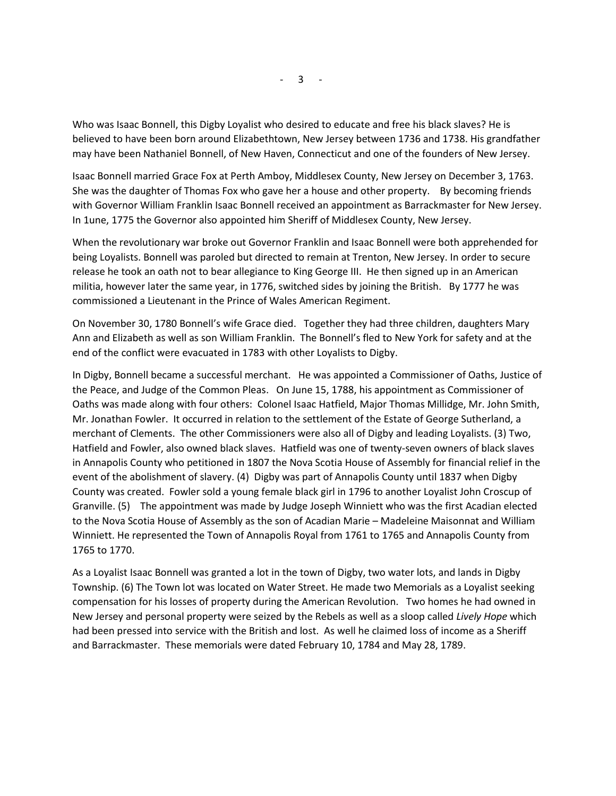Who was Isaac Bonnell, this Digby Loyalist who desired to educate and free his black slaves? He is believed to have been born around Elizabethtown, New Jersey between 1736 and 1738. His grandfather may have been Nathaniel Bonnell, of New Haven, Connecticut and one of the founders of New Jersey.

Isaac Bonnell married Grace Fox at Perth Amboy, Middlesex County, New Jersey on December 3, 1763. She was the daughter of Thomas Fox who gave her a house and other property. By becoming friends with Governor William Franklin Isaac Bonnell received an appointment as Barrackmaster for New Jersey. In 1une, 1775 the Governor also appointed him Sheriff of Middlesex County, New Jersey.

When the revolutionary war broke out Governor Franklin and Isaac Bonnell were both apprehended for being Loyalists. Bonnell was paroled but directed to remain at Trenton, New Jersey. In order to secure release he took an oath not to bear allegiance to King George III. He then signed up in an American militia, however later the same year, in 1776, switched sides by joining the British. By 1777 he was commissioned a Lieutenant in the Prince of Wales American Regiment.

On November 30, 1780 Bonnell's wife Grace died. Together they had three children, daughters Mary Ann and Elizabeth as well as son William Franklin. The Bonnell's fled to New York for safety and at the end of the conflict were evacuated in 1783 with other Loyalists to Digby.

In Digby, Bonnell became a successful merchant. He was appointed a Commissioner of Oaths, Justice of the Peace, and Judge of the Common Pleas. On June 15, 1788, his appointment as Commissioner of Oaths was made along with four others: Colonel Isaac Hatfield, Major Thomas Millidge, Mr. John Smith, Mr. Jonathan Fowler. It occurred in relation to the settlement of the Estate of George Sutherland, a merchant of Clements. The other Commissioners were also all of Digby and leading Loyalists. (3) Two, Hatfield and Fowler, also owned black slaves. Hatfield was one of twenty-seven owners of black slaves in Annapolis County who petitioned in 1807 the Nova Scotia House of Assembly for financial relief in the event of the abolishment of slavery. (4) Digby was part of Annapolis County until 1837 when Digby County was created. Fowler sold a young female black girl in 1796 to another Loyalist John Croscup of Granville. (5) The appointment was made by Judge Joseph Winniett who was the first Acadian elected to the Nova Scotia House of Assembly as the son of Acadian Marie – Madeleine Maisonnat and William Winniett. He represented the Town of Annapolis Royal from 1761 to 1765 and Annapolis County from 1765 to 1770.

As a Loyalist Isaac Bonnell was granted a lot in the town of Digby, two water lots, and lands in Digby Township. (6) The Town lot was located on Water Street. He made two Memorials as a Loyalist seeking compensation for his losses of property during the American Revolution. Two homes he had owned in New Jersey and personal property were seized by the Rebels as well as a sloop called *Lively Hope* which had been pressed into service with the British and lost. As well he claimed loss of income as a Sheriff and Barrackmaster. These memorials were dated February 10, 1784 and May 28, 1789.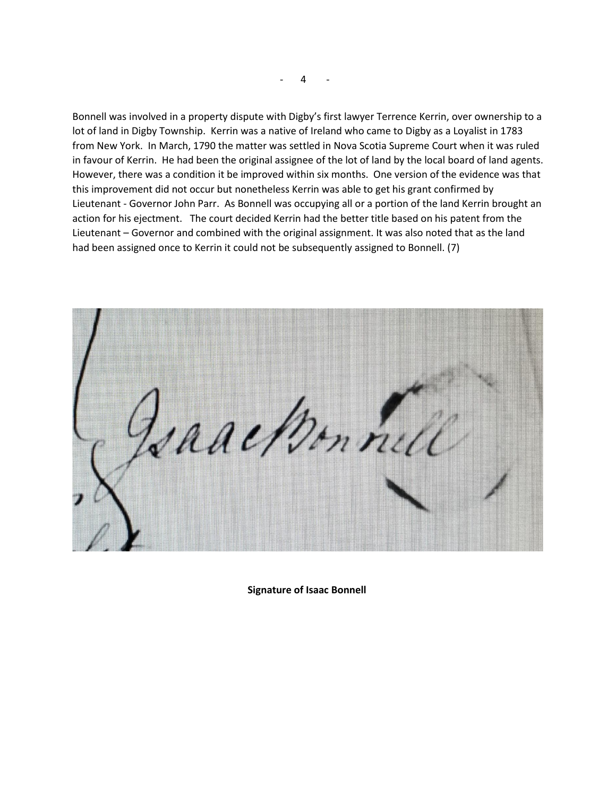Bonnell was involved in a property dispute with Digby's first lawyer Terrence Kerrin, over ownership to a lot of land in Digby Township. Kerrin was a native of Ireland who came to Digby as a Loyalist in 1783 from New York. In March, 1790 the matter was settled in Nova Scotia Supreme Court when it was ruled in favour of Kerrin. He had been the original assignee of the lot of land by the local board of land agents. However, there was a condition it be improved within six months. One version of the evidence was that this improvement did not occur but nonetheless Kerrin was able to get his grant confirmed by Lieutenant - Governor John Parr. As Bonnell was occupying all or a portion of the land Kerrin brought an action for his ejectment. The court decided Kerrin had the better title based on his patent from the Lieutenant – Governor and combined with the original assignment. It was also noted that as the land had been assigned once to Kerrin it could not be subsequently assigned to Bonnell. (7)

racken nul

**Signature of Isaac Bonnell**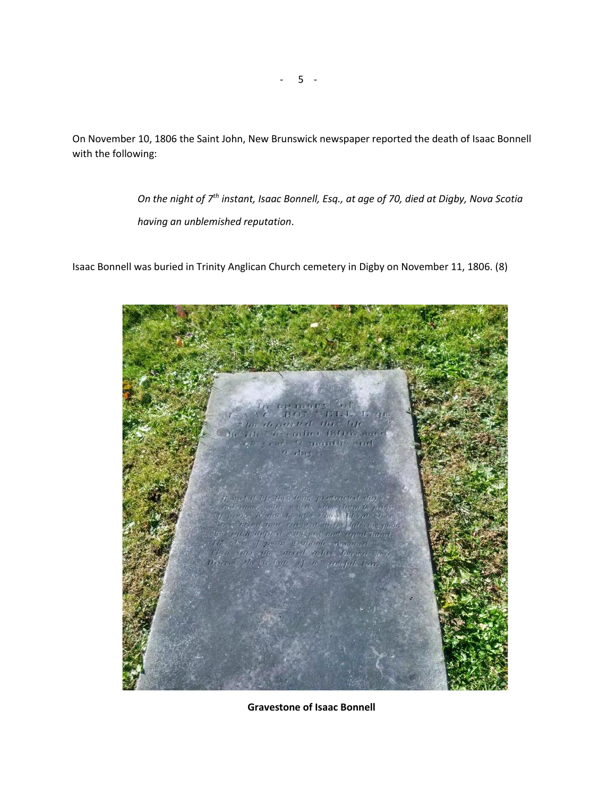On November 10, 1806 the Saint John, New Brunswick newspaper reported the death of Isaac Bonnell with the following:

> *On the night of 7th instant, Isaac Bonnell, Esq., at age of 70, died at Digby, Nova Scotia having an unblemished reputation*.

Isaac Bonnell was buried in Trinity Anglican Church cemetery in Digby on November 11, 1806. (8)



**Gravestone of Isaac Bonnell**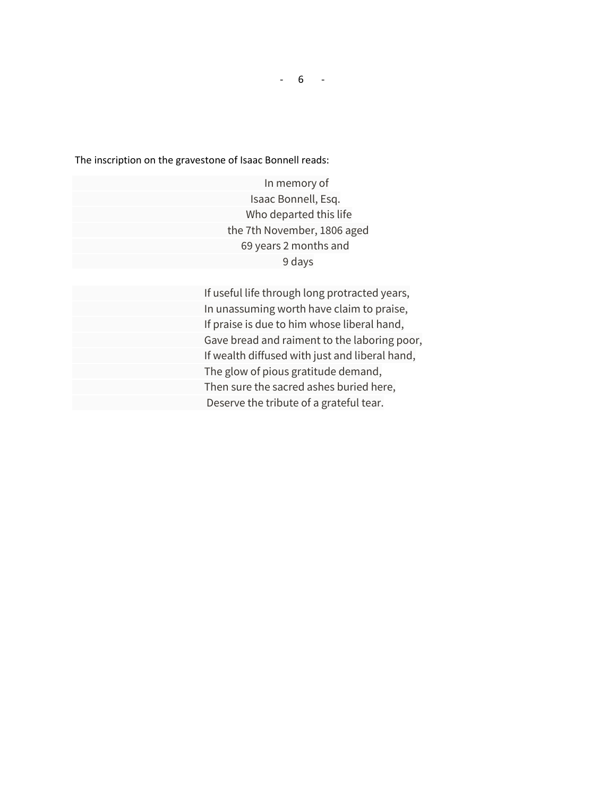The inscription on the gravestone of Isaac Bonnell reads:

 In memory of Isaac Bonnell, Esq. Who departed this life the 7th November, 1806 aged 69 years 2 months and 9 days

 If useful life through long protracted years, In unassuming worth have claim to praise, If praise is due to him whose liberal hand, Gave bread and raiment to the laboring poor, If wealth diffused with just and liberal hand, The glow of pious gratitude demand, Then sure the sacred ashes buried here, Deserve the tribute of a grateful tear.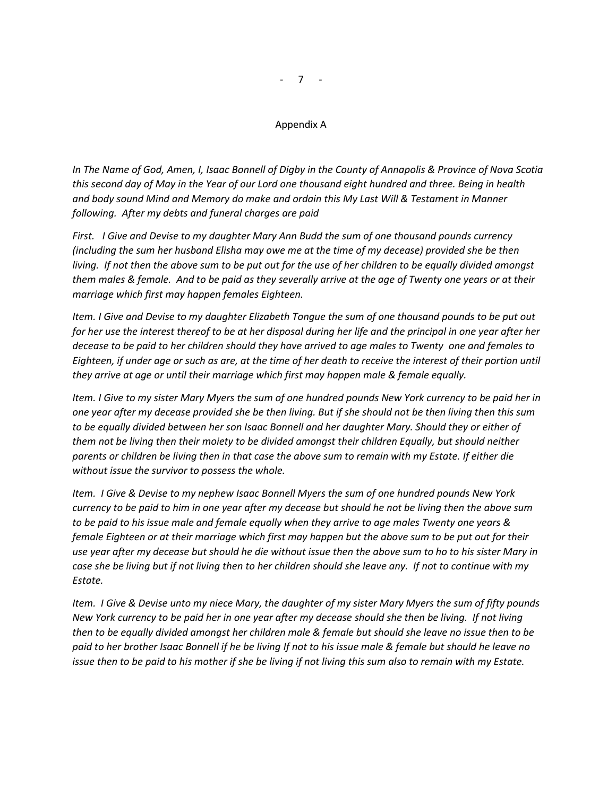## Appendix A

*In The Name of God, Amen, I, Isaac Bonnell of Digby in the County of Annapolis & Province of Nova Scotia this second day of May in the Year of our Lord one thousand eight hundred and three. Being in health and body sound Mind and Memory do make and ordain this My Last Will & Testament in Manner following. After my debts and funeral charges are paid* 

*First. I Give and Devise to my daughter Mary Ann Budd the sum of one thousand pounds currency (including the sum her husband Elisha may owe me at the time of my decease) provided she be then living. If not then the above sum to be put out for the use of her children to be equally divided amongst them males & female. And to be paid as they severally arrive at the age of Twenty one years or at their marriage which first may happen females Eighteen.* 

*Item. I Give and Devise to my daughter Elizabeth Tongue the sum of one thousand pounds to be put out*  for her use the interest thereof to be at her disposal during her life and the principal in one year after her *decease to be paid to her children should they have arrived to age males to Twenty one and females to Eighteen, if under age or such as are, at the time of her death to receive the interest of their portion until they arrive at age or until their marriage which first may happen male & female equally.* 

*Item. I Give to my sister Mary Myers the sum of one hundred pounds New York currency to be paid her in one year after my decease provided she be then living. But if she should not be then living then this sum to be equally divided between her son Isaac Bonnell and her daughter Mary. Should they or either of them not be living then their moiety to be divided amongst their children Equally, but should neither parents or children be living then in that case the above sum to remain with my Estate. If either die without issue the survivor to possess the whole.* 

*Item. I Give & Devise to my nephew Isaac Bonnell Myers the sum of one hundred pounds New York currency to be paid to him in one year after my decease but should he not be living then the above sum to be paid to his issue male and female equally when they arrive to age males Twenty one years & female Eighteen or at their marriage which first may happen but the above sum to be put out for their use year after my decease but should he die without issue then the above sum to ho to his sister Mary in case she be living but if not living then to her children should she leave any. If not to continue with my Estate.* 

*Item. I Give & Devise unto my niece Mary, the daughter of my sister Mary Myers the sum of fifty pounds New York currency to be paid her in one year after my decease should she then be living. If not living then to be equally divided amongst her children male & female but should she leave no issue then to be paid to her brother Isaac Bonnell if he be living If not to his issue male & female but should he leave no issue then to be paid to his mother if she be living if not living this sum also to remain with my Estate.*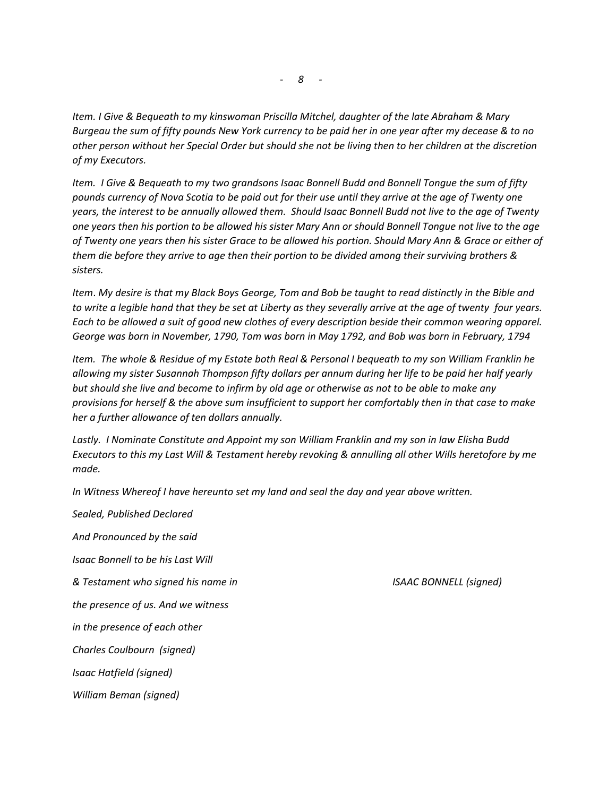*Item. I Give & Bequeath to my kinswoman Priscilla Mitchel, daughter of the late Abraham & Mary Burgeau the sum of fifty pounds New York currency to be paid her in one year after my decease & to no other person without her Special Order but should she not be living then to her children at the discretion of my Executors.*

*Item. I Give & Bequeath to my two grandsons Isaac Bonnell Budd and Bonnell Tongue the sum of fifty pounds currency of Nova Scotia to be paid out for their use until they arrive at the age of Twenty one years, the interest to be annually allowed them. Should Isaac Bonnell Budd not live to the age of Twenty one years then his portion to be allowed his sister Mary Ann or should Bonnell Tongue not live to the age of Twenty one years then his sister Grace to be allowed his portion. Should Mary Ann & Grace or either of them die before they arrive to age then their portion to be divided among their surviving brothers & sisters.* 

*Item*. *My desire is that my Black Boys George, Tom and Bob be taught to read distinctly in the Bible and to write a legible hand that they be set at Liberty as they severally arrive at the age of twenty four years. Each to be allowed a suit of good new clothes of every description beside their common wearing apparel. George was born in November, 1790, Tom was born in May 1792, and Bob was born in February, 1794*

*Item. The whole & Residue of my Estate both Real & Personal I bequeath to my son William Franklin he allowing my sister Susannah Thompson fifty dollars per annum during her life to be paid her half yearly but should she live and become to infirm by old age or otherwise as not to be able to make any provisions for herself & the above sum insufficient to support her comfortably then in that case to make her a further allowance of ten dollars annually.* 

*Lastly. I Nominate Constitute and Appoint my son William Franklin and my son in law Elisha Budd Executors to this my Last Will & Testament hereby revoking & annulling all other Wills heretofore by me made.*

*In Witness Whereof I have hereunto set my land and seal the day and year above written.* 

*Sealed, Published Declared And Pronounced by the said Isaac Bonnell to be his Last Will & Testament who signed his name in ISAAC BONNELL (signed) the presence of us. And we witness in the presence of each other Charles Coulbourn (signed) Isaac Hatfield (signed) William Beman (signed)*